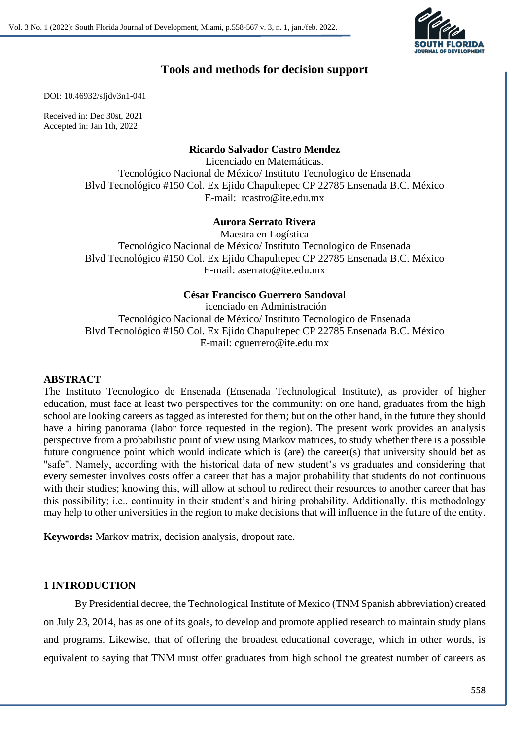

# **Tools and methods for decision support**

DOI: 10.46932/sfjdv3n1-041

Received in: Dec 30st, 2021 Accepted in: Jan 1th, 2022

# **Ricardo Salvador Castro Mendez**

Licenciado en Matemáticas. Tecnológico Nacional de México/ Instituto Tecnologico de Ensenada Blvd Tecnológico #150 Col. Ex Ejido Chapultepec CP 22785 Ensenada B.C. México E-mail: rcastro@ite.edu.mx

# **Aurora Serrato Rivera**

Maestra en Logística Tecnológico Nacional de México/ Instituto Tecnologico de Ensenada Blvd Tecnológico #150 Col. Ex Ejido Chapultepec CP 22785 Ensenada B.C. México E-mail: aserrato@ite.edu.mx

# **César Francisco Guerrero Sandoval**

icenciado en Administración Tecnológico Nacional de México/ Instituto Tecnologico de Ensenada Blvd Tecnológico #150 Col. Ex Ejido Chapultepec CP 22785 Ensenada B.C. México E-mail: cguerrero@ite.edu.mx

# **ABSTRACT**

The Instituto Tecnologico de Ensenada (Ensenada Technological Institute), as provider of higher education, must face at least two perspectives for the community: on one hand, graduates from the high school are looking careers as tagged as interested for them; but on the other hand, in the future they should have a hiring panorama (labor force requested in the region). The present work provides an analysis perspective from a probabilistic point of view using Markov matrices, to study whether there is a possible future congruence point which would indicate which is (are) the career(s) that university should bet as "safe". Namely, according with the historical data of new student's vs graduates and considering that every semester involves costs offer a career that has a major probability that students do not continuous with their studies; knowing this, will allow at school to redirect their resources to another career that has this possibility; i.e., continuity in their student's and hiring probability. Additionally, this methodology may help to other universities in the region to make decisions that will influence in the future of the entity.

**Keywords:** Markov matrix, decision analysis, dropout rate.

### **1 INTRODUCTION**

By Presidential decree, the Technological Institute of Mexico (TNM Spanish abbreviation) created on July 23, 2014, has as one of its goals, to develop and promote applied research to maintain study plans and programs. Likewise, that of offering the broadest educational coverage, which in other words, is equivalent to saying that TNM must offer graduates from high school the greatest number of careers as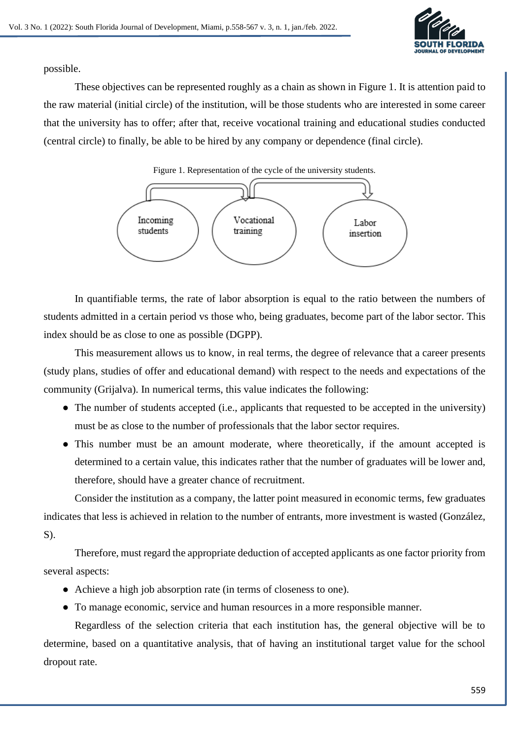

possible.

These objectives can be represented roughly as a chain as shown in Figure 1. It is attention paid to the raw material (initial circle) of the institution, will be those students who are interested in some career that the university has to offer; after that, receive vocational training and educational studies conducted (central circle) to finally, be able to be hired by any company or dependence (final circle).

Figure 1. Representation of the cycle of the university students.



In quantifiable terms, the rate of labor absorption is equal to the ratio between the numbers of students admitted in a certain period vs those who, being graduates, become part of the labor sector. This index should be as close to one as possible (DGPP).

This measurement allows us to know, in real terms, the degree of relevance that a career presents (study plans, studies of offer and educational demand) with respect to the needs and expectations of the community (Grijalva). In numerical terms, this value indicates the following:

- The number of students accepted (i.e., applicants that requested to be accepted in the university) must be as close to the number of professionals that the labor sector requires.
- This number must be an amount moderate, where theoretically, if the amount accepted is determined to a certain value, this indicates rather that the number of graduates will be lower and, therefore, should have a greater chance of recruitment.

Consider the institution as a company, the latter point measured in economic terms, few graduates indicates that less is achieved in relation to the number of entrants, more investment is wasted (González, S).

Therefore, must regard the appropriate deduction of accepted applicants as one factor priority from several aspects:

- Achieve a high job absorption rate (in terms of closeness to one).
- To manage economic, service and human resources in a more responsible manner.

Regardless of the selection criteria that each institution has, the general objective will be to determine, based on a quantitative analysis, that of having an institutional target value for the school dropout rate.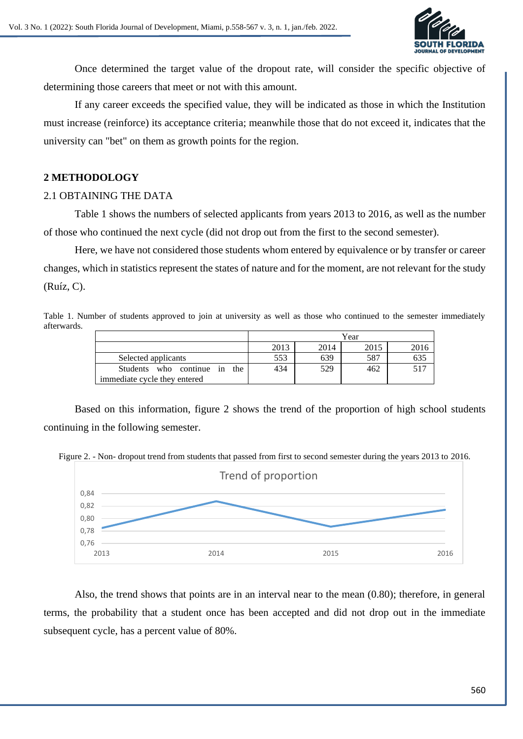

Once determined the target value of the dropout rate, will consider the specific objective of determining those careers that meet or not with this amount.

If any career exceeds the specified value, they will be indicated as those in which the Institution must increase (reinforce) its acceptance criteria; meanwhile those that do not exceed it, indicates that the university can "bet" on them as growth points for the region.

### **2 METHODOLOGY**

#### 2.1 OBTAINING THE DATA

Table 1 shows the numbers of selected applicants from years 2013 to 2016, as well as the number of those who continued the next cycle (did not drop out from the first to the second semester).

Here, we have not considered those students whom entered by equivalence or by transfer or career changes, which in statistics represent the states of nature and for the moment, are not relevant for the study (Ruíz, C).

Table 1. Number of students approved to join at university as well as those who continued to the semester immediately afterwards.

|                                 | Year |      |      |      |
|---------------------------------|------|------|------|------|
|                                 | 2013 | 2014 | 2015 | 2016 |
| Selected applicants             | 553  | 639  | 587  | 635  |
| Students who continue in<br>the | 434  | 529  | 462  | 517  |
| immediate cycle they entered    |      |      |      |      |

Based on this information, figure 2 shows the trend of the proportion of high school students continuing in the following semester.

Figure 2. - Non- dropout trend from students that passed from first to second semester during the years 2013 to 2016.



Also, the trend shows that points are in an interval near to the mean (0.80); therefore, in general terms, the probability that a student once has been accepted and did not drop out in the immediate subsequent cycle, has a percent value of 80%.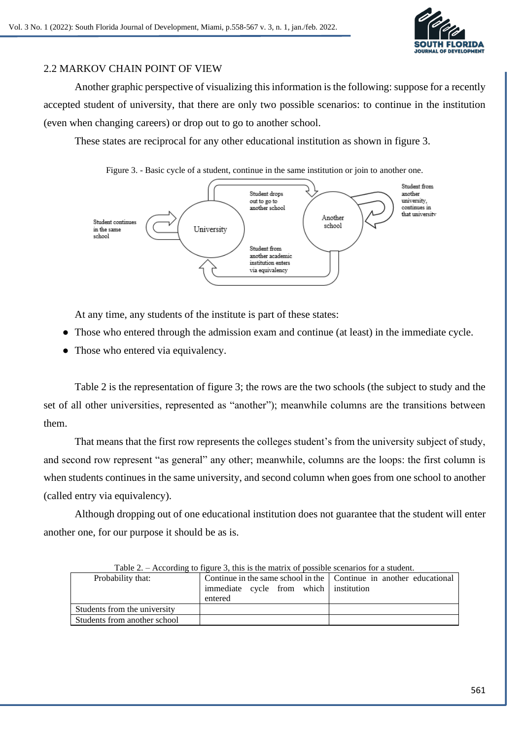

# 2.2 MARKOV CHAIN POINT OF VIEW

Another graphic perspective of visualizing this information is the following: suppose for a recently accepted student of university, that there are only two possible scenarios: to continue in the institution (even when changing careers) or drop out to go to another school.

These states are reciprocal for any other educational institution as shown in figure 3.

Figure 3. - Basic cycle of a student, continue in the same institution or join to another one.



At any time, any students of the institute is part of these states:

- Those who entered through the admission exam and continue (at least) in the immediate cycle.
- Those who entered via equivalency.

Table 2 is the representation of figure 3; the rows are the two schools (the subject to study and the set of all other universities, represented as "another"); meanwhile columns are the transitions between them.

That means that the first row represents the colleges student's from the university subject of study, and second row represent "as general" any other; meanwhile, columns are the loops: the first column is when students continues in the same university, and second column when goes from one school to another (called entry via equivalency).

Although dropping out of one educational institution does not guarantee that the student will enter another one, for our purpose it should be as is.

| Table $\mathbb{Z}$ . – According to righte 5, this is the matrix of possible securities for a student. |                                                                                                                           |  |  |  |
|--------------------------------------------------------------------------------------------------------|---------------------------------------------------------------------------------------------------------------------------|--|--|--|
| Probability that:                                                                                      | Continue in the same school in the   Continue in another educational<br>immediate cycle from which institution<br>entered |  |  |  |
| Students from the university                                                                           |                                                                                                                           |  |  |  |
| Students from another school                                                                           |                                                                                                                           |  |  |  |

| Table 2. – According to figure 3, this is the matrix of possible scenarios for a student. |  |  |  |
|-------------------------------------------------------------------------------------------|--|--|--|
|                                                                                           |  |  |  |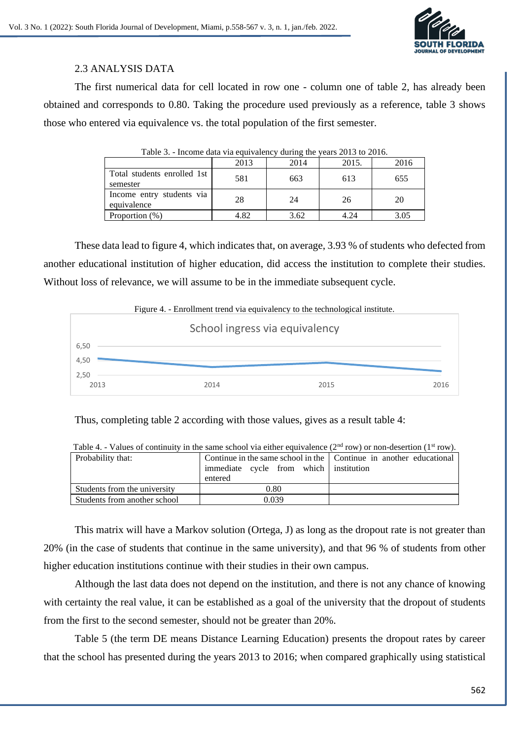

# 2.3 ANALYSIS DATA

The first numerical data for cell located in row one - column one of table 2, has already been obtained and corresponds to 0.80. Taking the procedure used previously as a reference, table 3 shows those who entered via equivalence vs. the total population of the first semester.

| Table 3. - Income data via equivalency during the years 2013 to 2016. |      |      |       |      |
|-----------------------------------------------------------------------|------|------|-------|------|
|                                                                       | 2013 | 2014 | 2015. | 2016 |
| Total students enrolled 1st<br>semester                               | 581  | 663  | 613   | 655  |
| Income entry students via<br>equivalence                              | 28   | 24   | 26    | 20   |
| Proportion $(\%)$                                                     | 4.82 | 3.62 | 4 24  | 3.05 |

These data lead to figure 4, which indicates that, on average, 3.93 % of students who defected from another educational institution of higher education, did access the institution to complete their studies. Without loss of relevance, we will assume to be in the immediate subsequent cycle.



Thus, completing table 2 according with those values, gives as a result table 4:

| Table 4. - Values of continuity in the same school via entier equivalence (2 <sup>---</sup> row) or non-desertion (1 <sup>--</sup> row). |                                                                      |  |  |  |  |
|------------------------------------------------------------------------------------------------------------------------------------------|----------------------------------------------------------------------|--|--|--|--|
| Probability that:                                                                                                                        | Continue in the same school in the   Continue in another educational |  |  |  |  |
|                                                                                                                                          | immediate cycle from which institution                               |  |  |  |  |
|                                                                                                                                          | entered                                                              |  |  |  |  |
| Students from the university                                                                                                             | 0.80                                                                 |  |  |  |  |
| Students from another school                                                                                                             | 0.039                                                                |  |  |  |  |

Table 4. - Values of continuity in the same school via either equivalence  $(2^{nd} row)$  or non-desertion  $(1^{st} row)$ .

This matrix will have a Markov solution (Ortega, J) as long as the dropout rate is not greater than 20% (in the case of students that continue in the same university), and that 96 % of students from other higher education institutions continue with their studies in their own campus.

Although the last data does not depend on the institution, and there is not any chance of knowing with certainty the real value, it can be established as a goal of the university that the dropout of students from the first to the second semester, should not be greater than 20%.

Table 5 (the term DE means Distance Learning Education) presents the dropout rates by career that the school has presented during the years 2013 to 2016; when compared graphically using statistical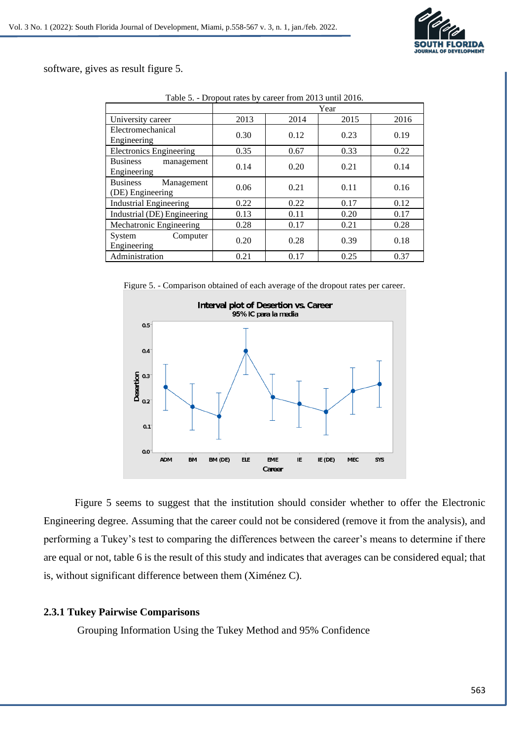

software, gives as result figure 5.

|                                                   | Year |      |      |      |
|---------------------------------------------------|------|------|------|------|
| University career                                 | 2013 | 2014 | 2015 | 2016 |
| Electromechanical                                 | 0.30 | 0.12 | 0.23 | 0.19 |
| Engineering                                       |      |      |      |      |
| <b>Electronics Engineering</b>                    | 0.35 | 0.67 | 0.33 | 0.22 |
| <b>Business</b><br>management<br>Engineering      | 0.14 | 0.20 | 0.21 | 0.14 |
| <b>Business</b><br>Management<br>(DE) Engineering | 0.06 | 0.21 | 0.11 | 0.16 |
| <b>Industrial Engineering</b>                     | 0.22 | 0.22 | 0.17 | 0.12 |
| Industrial (DE) Engineering                       | 0.13 | 0.11 | 0.20 | 0.17 |
| Mechatronic Engineering                           | 0.28 | 0.17 | 0.21 | 0.28 |
| System<br>Computer<br>Engineering                 | 0.20 | 0.28 | 0.39 | 0.18 |
| Administration                                    | 0.21 | 0.17 | 0.25 | 0.37 |

Table 5. - Dropout rates by career from 2013 until 2016.

Figure 5. - Comparison obtained of each average of the dropout rates per career.



Figure 5 seems to suggest that the institution should consider whether to offer the Electronic Engineering degree. Assuming that the career could not be considered (remove it from the analysis), and performing a Tukey's test to comparing the differences between the career's means to determine if there are equal or not, table 6 is the result of this study and indicates that averages can be considered equal; that is, without significant difference between them (Ximénez C).

### **2.3.1 Tukey Pairwise Comparisons**

Grouping Information Using the Tukey Method and 95% Confidence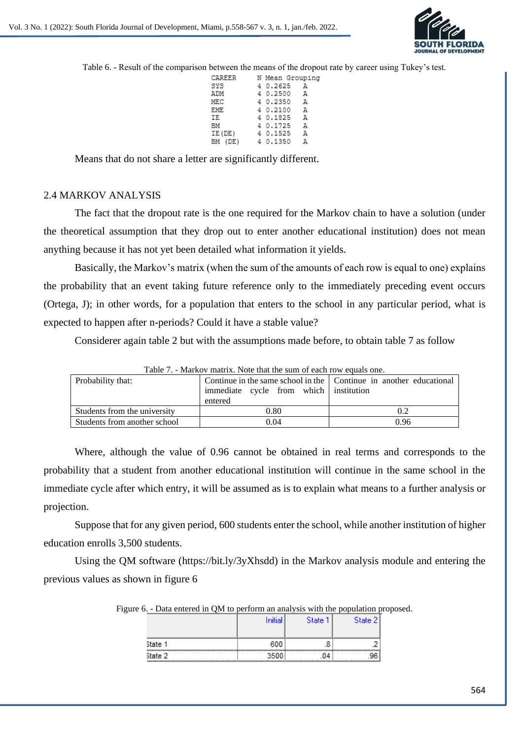

Table 6. - Result of the comparison between the means of the dropout rate by career using Tukey's test.

| CAREER N Mean Grouping |            |  |
|------------------------|------------|--|
| SYS                    | 4 0.2625 A |  |
| ADM                    | 4 0.2500 A |  |
| MEC                    | 4 0.2350 A |  |
| EME                    | 4 0.2100 A |  |
| IE                     | 4 0.1825 A |  |
| ΒМ                     | 4 0.1725 A |  |
| IE(DE)                 | 40.1525 A  |  |
| BM (DE) 4 0.1350 A     |            |  |
|                        |            |  |

Means that do not share a letter are significantly different.

#### 2.4 MARKOV ANALYSIS

The fact that the dropout rate is the one required for the Markov chain to have a solution (under the theoretical assumption that they drop out to enter another educational institution) does not mean anything because it has not yet been detailed what information it yields.

Basically, the Markov's matrix (when the sum of the amounts of each row is equal to one) explains the probability that an event taking future reference only to the immediately preceding event occurs (Ortega, J); in other words, for a population that enters to the school in any particular period, what is expected to happen after n-periods? Could it have a stable value?

Considerer again table 2 but with the assumptions made before, to obtain table 7 as follow

| Probability that:            | Continue in the same school in the   Continue in another educational<br>immediate cycle from which institution<br>entered |      |
|------------------------------|---------------------------------------------------------------------------------------------------------------------------|------|
| Students from the university | 0.80                                                                                                                      | 0.2  |
| Students from another school | 0.04                                                                                                                      | 0.96 |

Table 7. - Markov matrix. Note that the sum of each row equals one*.*

Where, although the value of 0.96 cannot be obtained in real terms and corresponds to the probability that a student from another educational institution will continue in the same school in the immediate cycle after which entry, it will be assumed as is to explain what means to a further analysis or projection.

Suppose that for any given period, 600 students enter the school, while another institution of higher education enrolls 3,500 students.

Using the QM software [\(https://bit.ly/3yXhsdd\)](https://bit.ly/3yXhsdd) in the Markov analysis module and entering the previous values as shown in figure 6

|              | .<br>.  | .       |         |  |
|--------------|---------|---------|---------|--|
|              | Initial | State 1 | State 2 |  |
| State 1      | 600     |         |         |  |
| w<br>State 2 | 3500    | .04     | .       |  |

Figure 6. - Data entered in QM to perform an analysis with the population proposed.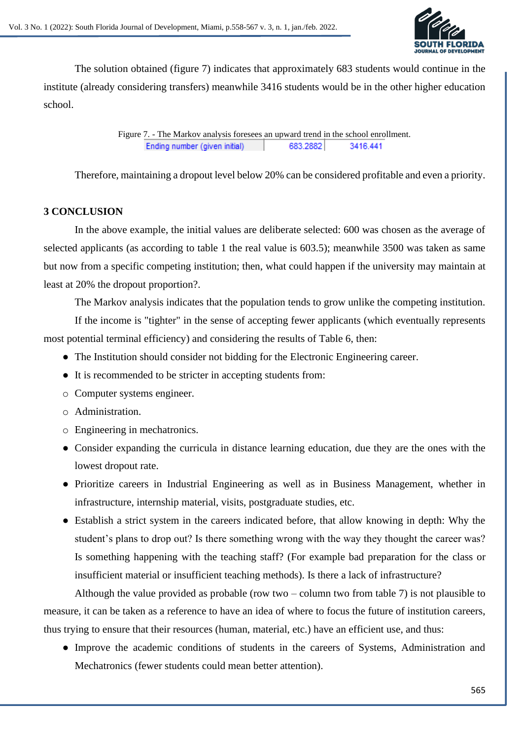

The solution obtained (figure 7) indicates that approximately 683 students would continue in the institute (already considering transfers) meanwhile 3416 students would be in the other higher education school.

> Figure 7. - The Markov analysis foresees an upward trend in the school enrollment. Ending number (given initial) 683.2882 3416.441

Therefore, maintaining a dropout level below 20% can be considered profitable and even a priority.

# **3 CONCLUSION**

In the above example, the initial values are deliberate selected: 600 was chosen as the average of selected applicants (as according to table 1 the real value is 603.5); meanwhile 3500 was taken as same but now from a specific competing institution; then, what could happen if the university may maintain at least at 20% the dropout proportion?.

The Markov analysis indicates that the population tends to grow unlike the competing institution.

If the income is "tighter" in the sense of accepting fewer applicants (which eventually represents most potential terminal efficiency) and considering the results of Table 6, then:

- The Institution should consider not bidding for the Electronic Engineering career.
- It is recommended to be stricter in accepting students from:
- o Computer systems engineer.
- o Administration.
- o Engineering in mechatronics.
- Consider expanding the curricula in distance learning education, due they are the ones with the lowest dropout rate.
- Prioritize careers in Industrial Engineering as well as in Business Management, whether in infrastructure, internship material, visits, postgraduate studies, etc.
- Establish a strict system in the careers indicated before, that allow knowing in depth: Why the student's plans to drop out? Is there something wrong with the way they thought the career was? Is something happening with the teaching staff? (For example bad preparation for the class or insufficient material or insufficient teaching methods). Is there a lack of infrastructure?

Although the value provided as probable (row two – column two from table 7) is not plausible to measure, it can be taken as a reference to have an idea of where to focus the future of institution careers, thus trying to ensure that their resources (human, material, etc.) have an efficient use, and thus:

● Improve the academic conditions of students in the careers of Systems, Administration and Mechatronics (fewer students could mean better attention).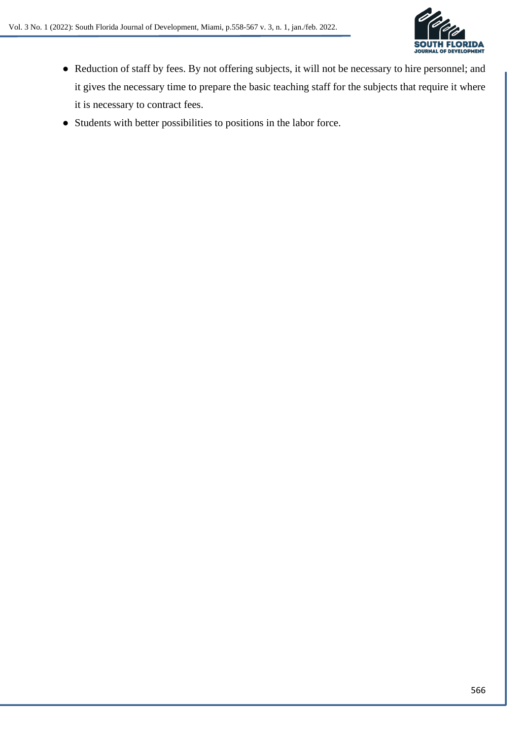

- Reduction of staff by fees. By not offering subjects, it will not be necessary to hire personnel; and it gives the necessary time to prepare the basic teaching staff for the subjects that require it where it is necessary to contract fees.
- Students with better possibilities to positions in the labor force.